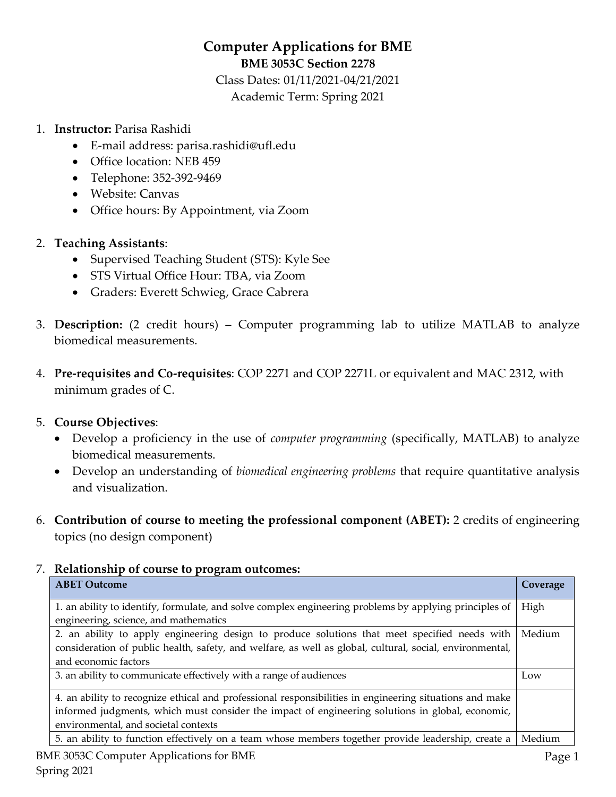# **Computer Applications for BME**

#### **BME 3053C Section 2278**

Class Dates: 01/11/2021-04/21/2021 Academic Term: Spring 2021

- 1. **Instructor:** Parisa Rashidi
	- E-mail address: parisa.rashidi@ufl.edu
	- Office location: NEB 459
	- Telephone: 352-392-9469
	- Website: Canvas
	- Office hours: By Appointment, via Zoom

# 2. **Teaching Assistants**:

- Supervised Teaching Student (STS): Kyle See
- STS Virtual Office Hour: TBA, via Zoom
- Graders: Everett Schwieg, Grace Cabrera
- 3. **Description:** (2 credit hours) Computer programming lab to utilize MATLAB to analyze biomedical measurements.
- 4. **Pre-requisites and Co-requisites**: COP 2271 and COP 2271L or equivalent and MAC 2312, with minimum grades of C.

# 5. **Course Objectives**:

- Develop a proficiency in the use of *computer programming* (specifically, MATLAB) to analyze biomedical measurements.
- Develop an understanding of *biomedical engineering problems* that require quantitative analysis and visualization.
- 6. **Contribution of course to meeting the professional component (ABET):** 2 credits of engineering topics (no design component)

# 7. **Relationship of course to program outcomes:**

| <b>ABET Outcome</b>                                                                                      | Coverage |  |  |
|----------------------------------------------------------------------------------------------------------|----------|--|--|
| 1. an ability to identify, formulate, and solve complex engineering problems by applying principles of   |          |  |  |
| engineering, science, and mathematics                                                                    |          |  |  |
| 2. an ability to apply engineering design to produce solutions that meet specified needs with            |          |  |  |
| consideration of public health, safety, and welfare, as well as global, cultural, social, environmental, |          |  |  |
| and economic factors                                                                                     |          |  |  |
| 3. an ability to communicate effectively with a range of audiences                                       | Low      |  |  |
| 4. an ability to recognize ethical and professional responsibilities in engineering situations and make  |          |  |  |
| informed judgments, which must consider the impact of engineering solutions in global, economic,         |          |  |  |
| environmental, and societal contexts                                                                     |          |  |  |
| 5. an ability to function effectively on a team whose members together provide leadership, create a      | Medium   |  |  |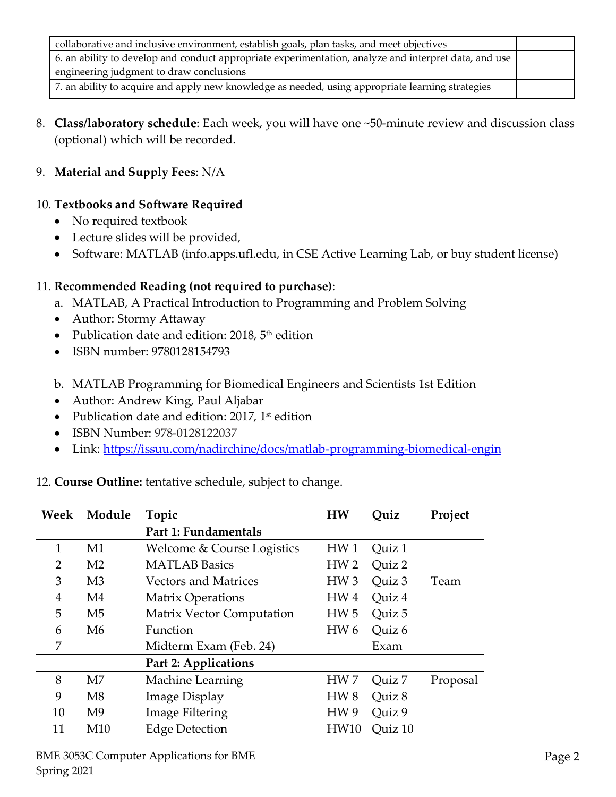| collaborative and inclusive environment, establish goals, plan tasks, and meet objectives             |  |  |
|-------------------------------------------------------------------------------------------------------|--|--|
| 6. an ability to develop and conduct appropriate experimentation, analyze and interpret data, and use |  |  |
| engineering judgment to draw conclusions                                                              |  |  |
| 7. an ability to acquire and apply new knowledge as needed, using appropriate learning strategies     |  |  |

- 8. **Class/laboratory schedule**: Each week, you will have one ~50-minute review and discussion class (optional) which will be recorded.
- 9. **Material and Supply Fees**: N/A

# 10. **Textbooks and Software Required**

- No required textbook
- Lecture slides will be provided,
- Software: MATLAB (info.apps.ufl.edu, in CSE Active Learning Lab, or buy student license)

#### 11. **Recommended Reading (not required to purchase)**:

- a. MATLAB, A Practical Introduction to Programming and Problem Solving
- Author: Stormy Attaway
- Publication date and edition: 2018, 5<sup>th</sup> edition
- ISBN number: 9780128154793
- b. MATLAB Programming for Biomedical Engineers and Scientists 1st Edition
- Author: Andrew King, Paul Aljabar
- Publication date and edition: 2017, 1<sup>st</sup> edition
- ISBN Number: 978-0128122037
- Link:<https://issuu.com/nadirchine/docs/matlab-programming-biomedical-engin>

12. **Course Outline:** tentative schedule, subject to change.

| Week         | Module         | Topic                          | <b>HW</b>                 | Ouiz    | Project  |
|--------------|----------------|--------------------------------|---------------------------|---------|----------|
|              |                | Part 1: Fundamentals           |                           |         |          |
| $\mathbf{1}$ | M1             | Welcome & Course Logistics     | HW <sub>1</sub>           | Quiz 1  |          |
| 2            | M <sub>2</sub> | <b>MATLAB</b> Basics           | HW <sub>2</sub>           | Quiz 2  |          |
| 3            | M <sub>3</sub> | <b>Vectors and Matrices</b>    | HW <sub>3</sub>           | Quiz 3  | Team     |
| 4            | M4             | <b>Matrix Operations</b>       | HW4                       | Quiz 4  |          |
| 5            | M <sub>5</sub> | Matrix Vector Computation      | HW <sub>5</sub>           | Quiz 5  |          |
| 6            | M6             | Function                       | HW <sub>6</sub><br>Quiz 6 |         |          |
| 7            |                | Midterm Exam (Feb. 24)<br>Exam |                           |         |          |
|              |                | Part 2: Applications           |                           |         |          |
| 8            | M <sub>7</sub> | Machine Learning               | HW <sub>7</sub>           | Quiz 7  | Proposal |
| 9            | M8             | <b>Image Display</b>           | HW <sub>8</sub>           | Quiz 8  |          |
| 10           | M <sup>9</sup> | Image Filtering                | HW <sub>9</sub>           | Quiz 9  |          |
| 11           | M10            | <b>Edge Detection</b>          | <b>HW10</b>               | Quiz 10 |          |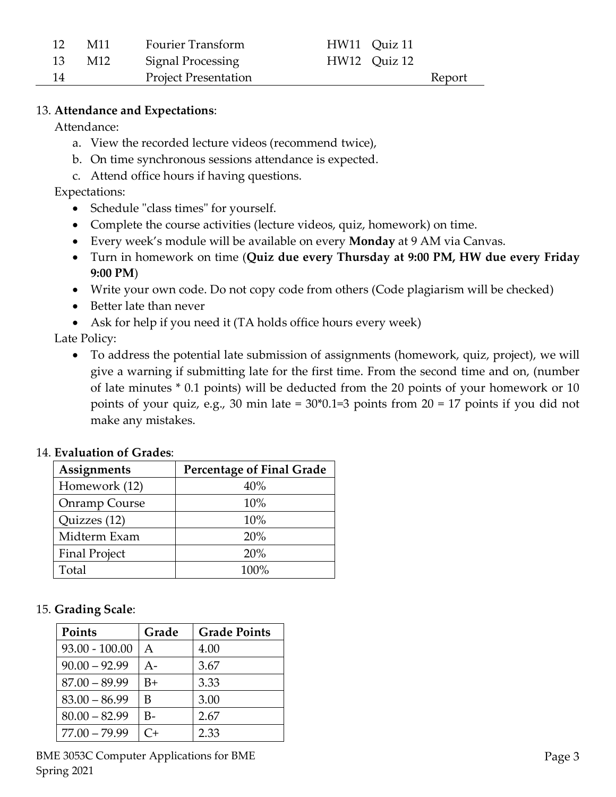| -12  | M11 | Fourier Transform           | HW11 Quiz 11 |        |
|------|-----|-----------------------------|--------------|--------|
|      | M12 | Signal Processing           | HW12 Ouiz 12 |        |
| - 14 |     | <b>Project Presentation</b> |              | Report |

#### 13. **Attendance and Expectations**:

Attendance:

- a. View the recorded lecture videos (recommend twice),
- b. On time synchronous sessions attendance is expected.
- c. Attend office hours if having questions.

Expectations:

- Schedule "class times" for yourself.
- Complete the course activities (lecture videos, quiz, homework) on time.
- Every week's module will be available on every **Monday** at 9 AM via Canvas.
- Turn in homework on time (**Quiz due every Thursday at 9:00 PM, HW due every Friday 9:00 PM**)
- Write your own code. Do not copy code from others (Code plagiarism will be checked)
- Better late than never
- Ask for help if you need it (TA holds office hours every week)

Late Policy:

• To address the potential late submission of assignments (homework, quiz, project), we will give a warning if submitting late for the first time. From the second time and on, (number of late minutes \* 0.1 points) will be deducted from the 20 points of your homework or 10 points of your quiz, e.g., 30 min late = 30\*0.1=3 points from 20 = 17 points if you did not make any mistakes.

| Assignments          | <b>Percentage of Final Grade</b> |
|----------------------|----------------------------------|
| Homework (12)        | 40%                              |
| <b>Onramp Course</b> | 10%                              |
| Quizzes (12)         | 10%                              |
| Midterm Exam         | 20%                              |
| <b>Final Project</b> | 20%                              |
| Total                | 100%                             |

#### 14. **Evaluation of Grades**:

#### 15. **Grading Scale**:

| Points           | Grade     | <b>Grade Points</b> |
|------------------|-----------|---------------------|
| $93.00 - 100.00$ | A         | 4.00                |
| $90.00 - 92.99$  | А-        | 3.67                |
| $87.00 - 89.99$  | B+        | 3.33                |
| $83.00 - 86.99$  | В         | 3.00                |
| $80.00 - 82.99$  | B-        | 2.67                |
| $77.00 - 79.99$  | $C_{\pm}$ | 2.33                |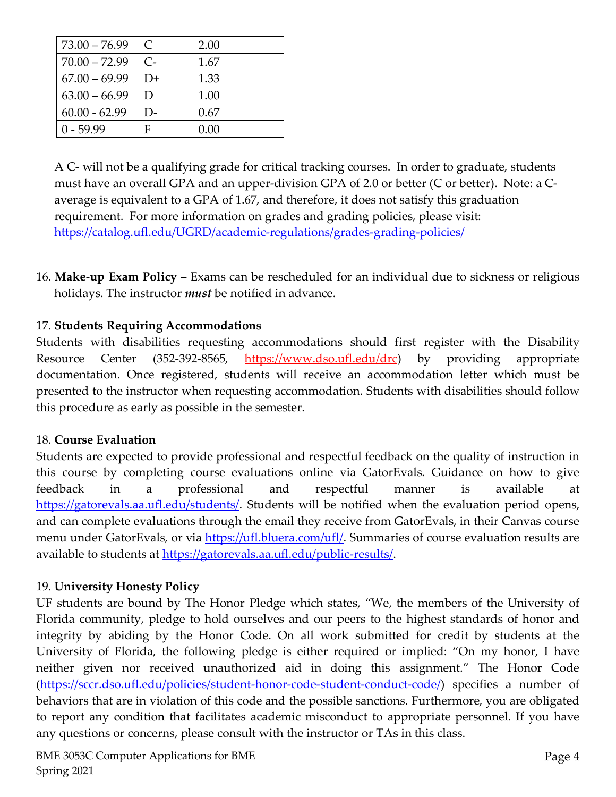| $73.00 - 76.99$ | C          | 2.00 |
|-----------------|------------|------|
| $70.00 - 72.99$ | $C_{\tau}$ | 1.67 |
| $67.00 - 69.99$ | D+         | 1.33 |
| $63.00 - 66.99$ | D          | 1.00 |
| $60.00 - 62.99$ | D-         | 0.67 |
| $0 - 59.99$     | F          | 0.00 |

A C- will not be a qualifying grade for critical tracking courses. In order to graduate, students must have an overall GPA and an upper-division GPA of 2.0 or better (C or better). Note: a Caverage is equivalent to a GPA of 1.67, and therefore, it does not satisfy this graduation requirement. For more information on grades and grading policies, please visit: <https://catalog.ufl.edu/UGRD/academic-regulations/grades-grading-policies/>

16. **Make-up Exam Policy** – Exams can be rescheduled for an individual due to sickness or religious holidays. The instructor *must* be notified in advance.

# 17. **Students Requiring Accommodations**

Students with disabilities requesting accommodations should first register with the Disability Resource Center (352-392-8565, https://www.dso.ufl.edu/drc) by providing appropriate documentation. Once registered, students will receive an accommodation letter which must be presented to the instructor when requesting accommodation. Students with disabilities should follow this procedure as early as possible in the semester.

# 18. **Course Evaluation**

Students are expected to provide professional and respectful feedback on the quality of instruction in this course by completing course evaluations online via GatorEvals. Guidance on how to give feedback in a professional and respectful manner is available at [https://gatorevals.aa.ufl.edu/students/.](https://gatorevals.aa.ufl.edu/students/) Students will be notified when the evaluation period opens, and can complete evaluations through the email they receive from GatorEvals, in their Canvas course menu under GatorEvals, or via [https://ufl.bluera.com/ufl/.](https://ufl.bluera.com/ufl/) Summaries of course evaluation results are available to students at [https://gatorevals.aa.ufl.edu/public-results/.](https://gatorevals.aa.ufl.edu/public-results/)

# 19. **University Honesty Policy**

UF students are bound by The Honor Pledge which states, "We, the members of the University of Florida community, pledge to hold ourselves and our peers to the highest standards of honor and integrity by abiding by the Honor Code. On all work submitted for credit by students at the University of Florida, the following pledge is either required or implied: "On my honor, I have neither given nor received unauthorized aid in doing this assignment." The Honor Code [\(https://sccr.dso.ufl.edu/policies/student-honor-code-student-conduct-code/\)](https://sccr.dso.ufl.edu/policies/student-honor-code-student-conduct-code/) specifies a number of behaviors that are in violation of this code and the possible sanctions. Furthermore, you are obligated to report any condition that facilitates academic misconduct to appropriate personnel. If you have any questions or concerns, please consult with the instructor or TAs in this class.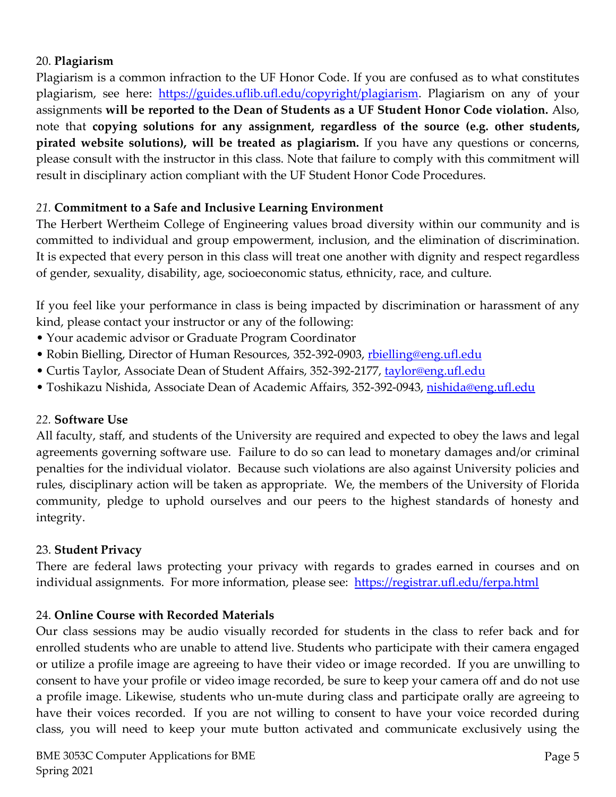#### 20. **Plagiarism**

Plagiarism is a common infraction to the UF Honor Code. If you are confused as to what constitutes plagiarism, see here: [https://guides.uflib.ufl.edu/copyright/plagiarism.](https://guides.uflib.ufl.edu/copyright/plagiarism) Plagiarism on any of your assignments **will be reported to the Dean of Students as a UF Student Honor Code violation.** Also, note that **copying solutions for any assignment, regardless of the source (e.g. other students, pirated website solutions), will be treated as plagiarism.** If you have any questions or concerns, please consult with the instructor in this class. Note that failure to comply with this commitment will result in disciplinary action compliant with the UF Student Honor Code Procedures.

# *21.* **Commitment to a Safe and Inclusive Learning Environment**

The Herbert Wertheim College of Engineering values broad diversity within our community and is committed to individual and group empowerment, inclusion, and the elimination of discrimination. It is expected that every person in this class will treat one another with dignity and respect regardless of gender, sexuality, disability, age, socioeconomic status, ethnicity, race, and culture.

If you feel like your performance in class is being impacted by discrimination or harassment of any kind, please contact your instructor or any of the following:

- Your academic advisor or Graduate Program Coordinator
- Robin Bielling, Director of Human Resources, 352-392-0903, [rbielling@eng.ufl.edu](mailto:rbielling@eng.ufl.edu)
- Curtis Taylor, Associate Dean of Student Affairs, 352-392-2177, [taylor@eng.ufl.edu](mailto:taylor@eng.ufl.edu)
- Toshikazu Nishida, Associate Dean of Academic Affairs, 352-392-0943, [nishida@eng.ufl.edu](mailto:nishida@eng.ufl.edu)

#### *22.* **Software Use**

All faculty, staff, and students of the University are required and expected to obey the laws and legal agreements governing software use. Failure to do so can lead to monetary damages and/or criminal penalties for the individual violator. Because such violations are also against University policies and rules, disciplinary action will be taken as appropriate. We, the members of the University of Florida community, pledge to uphold ourselves and our peers to the highest standards of honesty and integrity.

#### 23. **Student Privacy**

There are federal laws protecting your privacy with regards to grades earned in courses and on individual assignments. For more information, please see: <https://registrar.ufl.edu/ferpa.html>

# 24. **Online Course with Recorded Materials**

Our class sessions may be audio visually recorded for students in the class to refer back and for enrolled students who are unable to attend live. Students who participate with their camera engaged or utilize a profile image are agreeing to have their video or image recorded. If you are unwilling to consent to have your profile or video image recorded, be sure to keep your camera off and do not use a profile image. Likewise, students who un-mute during class and participate orally are agreeing to have their voices recorded. If you are not willing to consent to have your voice recorded during class, you will need to keep your mute button activated and communicate exclusively using the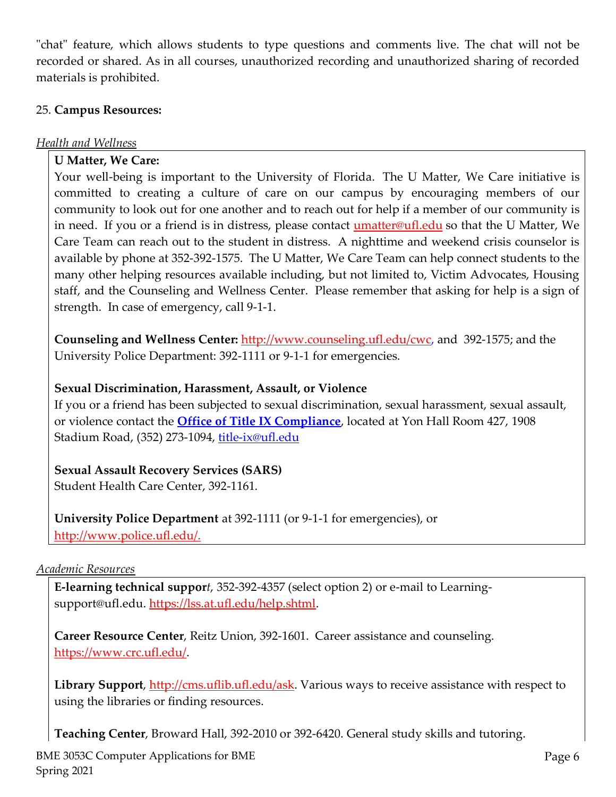"chat" feature, which allows students to type questions and comments live. The chat will not be recorded or shared. As in all courses, unauthorized recording and unauthorized sharing of recorded materials is prohibited.

#### 25. **Campus Resources:**

#### *Health and Wellness*

# **U Matter, We Care:**

Your well-being is important to the University of Florida. The U Matter, We Care initiative is committed to creating a culture of care on our campus by encouraging members of our community to look out for one another and to reach out for help if a member of our community is in need. If you or a friend is in distress, please contact **[umatter@ufl.edu](mailto:umatter@ufl.edu)** so that the U Matter, We Care Team can reach out to the student in distress. A nighttime and weekend crisis counselor is available by phone at 352-392-1575. The U Matter, We Care Team can help connect students to the many other helping resources available including, but not limited to, Victim Advocates, Housing staff, and the Counseling and Wellness Center. Please remember that asking for help is a sign of strength. In case of emergency, call 9-1-1.

**Counseling and Wellness Center:** [http://www.counseling.ufl.edu/cwc,](http://www.counseling.ufl.edu/cwc) and 392-1575; and the University Police Department: 392-1111 or 9-1-1 for emergencies.

# **Sexual Discrimination, Harassment, Assault, or Violence**

If you or a friend has been subjected to sexual discrimination, sexual harassment, sexual assault, or violence contact the **[Office of Title IX Compliance](https://titleix.ufl.edu/)**, located at Yon Hall Room 427, 1908 Stadium Road, (352) 273-1094[, title-ix@ufl.edu](mailto:title-ix@ufl.edu)

# **Sexual Assault Recovery Services (SARS)**

Student Health Care Center, 392-1161.

**University Police Department** at 392-1111 (or 9-1-1 for emergencies), or [http://www.police.ufl.edu/.](http://www.police.ufl.edu/)

#### *Academic Resources*

**E-learning technical suppor***t*, 352-392-4357 (select option 2) or e-mail to Learningsupport@ufl.edu. [https://lss.at.ufl.edu/help.shtml.](https://lss.at.ufl.edu/help.shtml)

**Career Resource Center**, Reitz Union, 392-1601. Career assistance and counseling. [https://www.crc.ufl.edu/.](https://www.crc.ufl.edu/)

**Library Support**, [http://cms.uflib.ufl.edu/ask.](http://cms.uflib.ufl.edu/ask) Various ways to receive assistance with respect to using the libraries or finding resources.

**Teaching Center**, Broward Hall, 392-2010 or 392-6420. General study skills and tutoring.